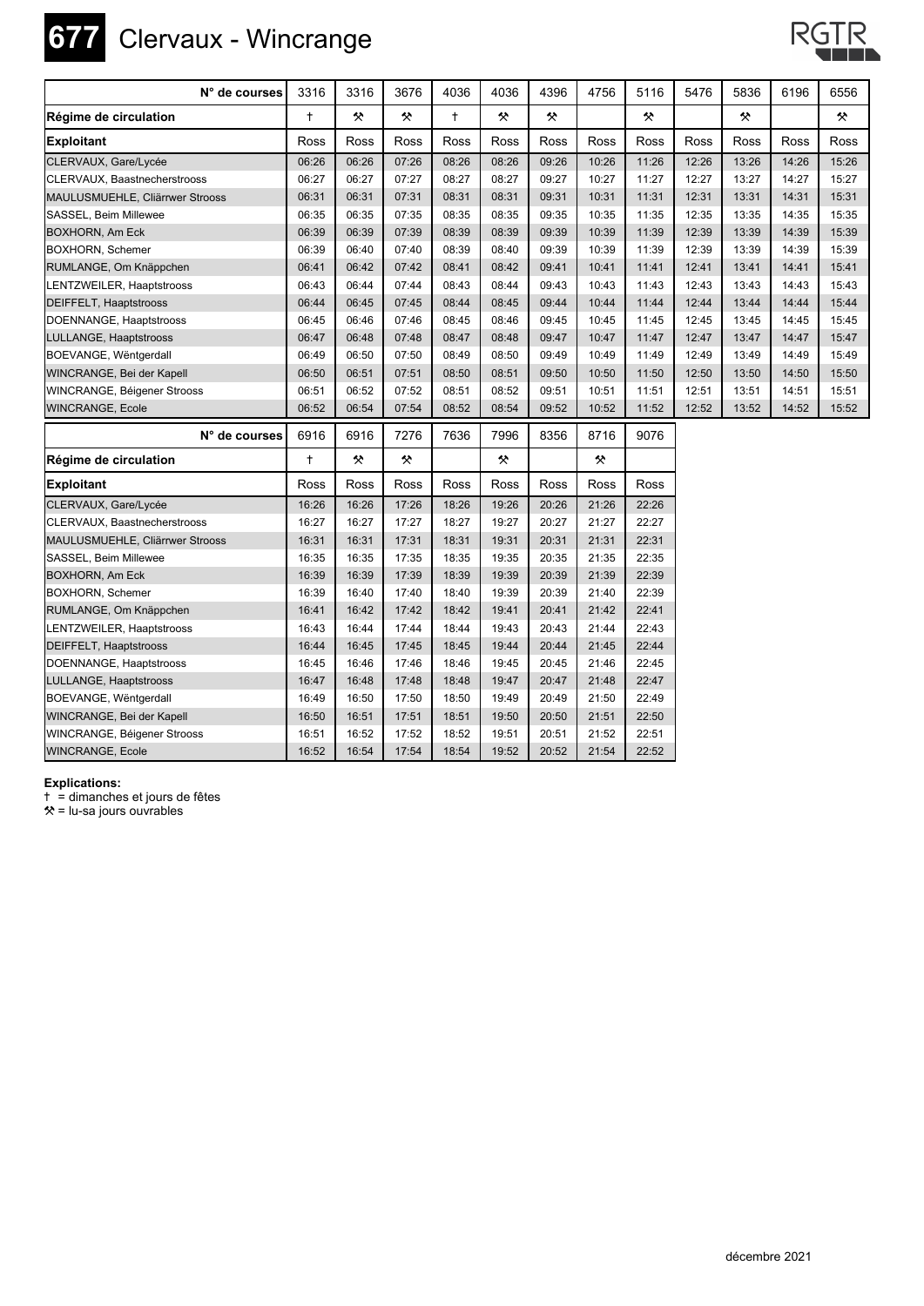

## **677** Clervaux - Wincrange



| N° de courses                   | 3316       | 3316  | 3676  | 4036       | 4036  | 4396  | 4756        | 5116        | 5476  | 5836  | 6196  | 6556  |
|---------------------------------|------------|-------|-------|------------|-------|-------|-------------|-------------|-------|-------|-------|-------|
| Régime de circulation           | $\ddagger$ | 父     | ×     | $\ddagger$ | 父     | 父     |             | 父           |       | 父     |       | 父     |
| <b>Exploitant</b>               | Ross       | Ross  | Ross  | Ross       | Ross  | Ross  | <b>Ross</b> | Ross        | Ross  | Ross  | Ross  | Ross  |
| CLERVAUX, Gare/Lycée            | 06:26      | 06:26 | 07:26 | 08:26      | 08:26 | 09:26 | 10:26       | 11:26       | 12:26 | 13:26 | 14:26 | 15:26 |
| CLERVAUX, Baastnecherstrooss    | 06:27      | 06:27 | 07:27 | 08:27      | 08:27 | 09:27 | 10:27       | 11:27       | 12:27 | 13:27 | 14:27 | 15:27 |
| MAULUSMUEHLE, Cliärrwer Strooss | 06:31      | 06:31 | 07:31 | 08:31      | 08:31 | 09:31 | 10:31       | 11:31       | 12:31 | 13:31 | 14:31 | 15:31 |
| SASSEL, Beim Millewee           | 06:35      | 06:35 | 07:35 | 08:35      | 08:35 | 09:35 | 10:35       | 11:35       | 12:35 | 13:35 | 14:35 | 15:35 |
| <b>BOXHORN, Am Eck</b>          | 06:39      | 06:39 | 07:39 | 08:39      | 08:39 | 09:39 | 10:39       | 11:39       | 12:39 | 13:39 | 14:39 | 15:39 |
| <b>BOXHORN, Schemer</b>         | 06:39      | 06:40 | 07:40 | 08:39      | 08:40 | 09:39 | 10:39       | 11:39       | 12:39 | 13:39 | 14:39 | 15:39 |
| RUMLANGE, Om Knäppchen          | 06:41      | 06:42 | 07:42 | 08:41      | 08:42 | 09:41 | 10:41       | 11:41       | 12:41 | 13:41 | 14:41 | 15:41 |
| LENTZWEILER, Haaptstrooss       | 06:43      | 06:44 | 07:44 | 08:43      | 08:44 | 09:43 | 10:43       | 11:43       | 12:43 | 13:43 | 14:43 | 15:43 |
| <b>DEIFFELT, Haaptstrooss</b>   | 06:44      | 06:45 | 07:45 | 08:44      | 08:45 | 09:44 | 10:44       | 11:44       | 12:44 | 13:44 | 14:44 | 15:44 |
| DOENNANGE, Haaptstrooss         | 06:45      | 06:46 | 07:46 | 08:45      | 08:46 | 09:45 | 10:45       | 11:45       | 12:45 | 13:45 | 14:45 | 15:45 |
| LULLANGE, Haaptstrooss          | 06:47      | 06:48 | 07:48 | 08:47      | 08:48 | 09:47 | 10:47       | 11:47       | 12:47 | 13:47 | 14:47 | 15:47 |
| BOEVANGE, Wëntgerdall           | 06:49      | 06:50 | 07:50 | 08:49      | 08:50 | 09:49 | 10:49       | 11:49       | 12:49 | 13:49 | 14:49 | 15:49 |
| WINCRANGE, Bei der Kapell       | 06:50      | 06:51 | 07:51 | 08:50      | 08:51 | 09:50 | 10:50       | 11:50       | 12:50 | 13:50 | 14:50 | 15:50 |
| WINCRANGE, Béigener Strooss     | 06:51      | 06:52 | 07:52 | 08:51      | 08:52 | 09:51 | 10:51       | 11:51       | 12:51 | 13:51 | 14:51 | 15:51 |
| WINCRANGE, Ecole                | 06:52      | 06:54 | 07:54 | 08:52      | 08:54 | 09:52 | 10:52       | 11:52       | 12:52 | 13:52 | 14:52 | 15:52 |
| N° de courses                   | 6916       | 6916  | 7276  | 7636       | 7996  | 8356  | 8716        | 9076        |       |       |       |       |
| Régime de circulation           | $\ddagger$ | 父     | 父     |            | 父     |       | 父           |             |       |       |       |       |
| <b>Exploitant</b>               | Ross       | Ross  | Ross  | Ross       | Ross  | Ross  | Ross        | <b>Ross</b> |       |       |       |       |
| CLERVAUX, Gare/Lycée            | 16:26      | 16:26 | 17:26 | 18:26      | 19:26 | 20:26 | 21:26       | 22:26       |       |       |       |       |
| CLERVAUX, Baastnecherstrooss    | 16:27      | 16:27 | 17:27 | 18:27      | 19:27 | 20:27 | 21:27       | 22:27       |       |       |       |       |
| MAULUSMUEHLE, Cliärrwer Strooss | 16:31      | 16:31 | 17:31 | 18:31      | 19:31 | 20:31 | 21:31       | 22:31       |       |       |       |       |
| SASSEL, Beim Millewee           | 16:35      | 16:35 | 17:35 | 18:35      | 19:35 | 20:35 | 21:35       | 22:35       |       |       |       |       |
| <b>BOXHORN, Am Eck</b>          | 16:39      | 16:39 | 17:39 | 18:39      | 19:39 | 20:39 | 21:39       | 22:39       |       |       |       |       |
| <b>BOXHORN, Schemer</b>         | 16:39      | 16:40 | 17:40 | 18:40      | 19:39 | 20:39 | 21:40       | 22:39       |       |       |       |       |
| RUMLANGE, Om Knäppchen          | 16:41      | 16:42 | 17:42 | 18:42      | 19:41 | 20:41 | 21:42       | 22:41       |       |       |       |       |
| LENTZWEILER, Haaptstrooss       | 16:43      | 16:44 | 17:44 | 18:44      | 19:43 | 20:43 | 21:44       | 22:43       |       |       |       |       |
| DEIFFELT, Haaptstrooss          | 16:44      | 16:45 | 17:45 | 18:45      | 19:44 | 20:44 | 21:45       | 22:44       |       |       |       |       |
| DOENNANGE, Haaptstrooss         | 16:45      | 16:46 | 17:46 | 18:46      | 19:45 | 20:45 | 21:46       | 22:45       |       |       |       |       |
| LULLANGE, Haaptstrooss          | 16:47      | 16:48 | 17:48 | 18:48      | 19:47 | 20:47 | 21:48       | 22:47       |       |       |       |       |
| BOEVANGE, Wëntgerdall           | 16:49      | 16:50 | 17:50 | 18:50      | 19:49 | 20:49 | 21:50       | 22:49       |       |       |       |       |
| WINCRANGE, Bei der Kapell       | 16:50      | 16:51 | 17:51 | 18:51      | 19:50 | 20:50 | 21:51       | 22:50       |       |       |       |       |
| WINCRANGE, Béigener Strooss     | 16:51      | 16:52 | 17:52 | 18:52      | 19:51 | 20:51 | 21:52       | 22:51       |       |       |       |       |
| WINCRANGE, Ecole                | 16:52      | 16:54 | 17:54 | 18:54      | 19:52 | 20:52 | 21:54       | 22:52       |       |       |       |       |

## **Explications:**

) = dimanches et jours de fêtes

 $*$  = lu-sa jours ouvrables